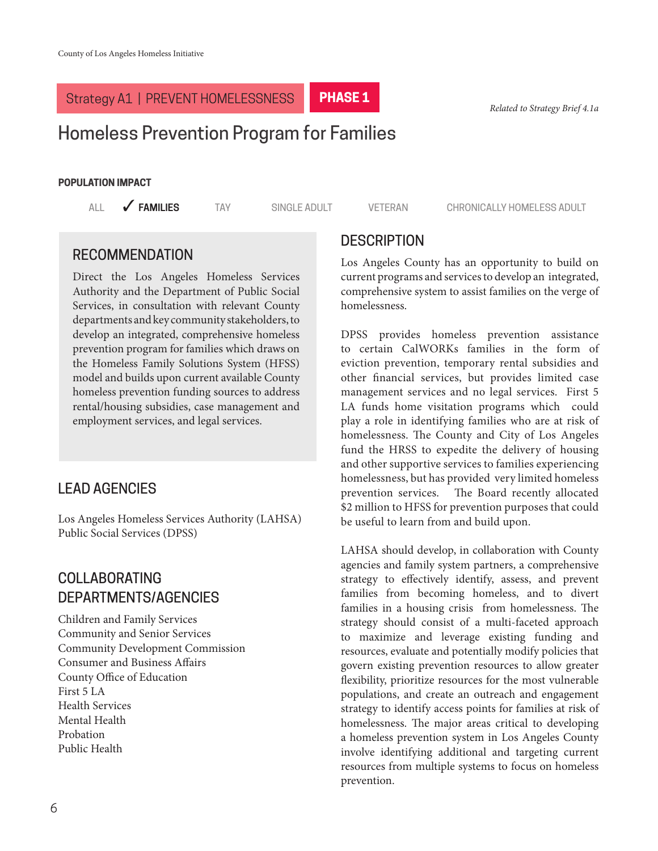# **Related of A1 | PREVENT HOMELESSNESS PHASE 1** PHASE 1 Related to Strategy Brief 4.1a

# Homeless Prevention Program for Families

#### **POPULATION IMPACT**

ALL **6 FAMILIES** TAY SINGLE ADULT VETERAN CHRONICALLY HOMELESS ADULT

#### RECOMMENDATION

Direct the Los Angeles Homeless Services Authority and the Department of Public Social Services, in consultation with relevant County departments and key community stakeholders, to develop an integrated, comprehensive homeless prevention program for families which draws on the Homeless Family Solutions System (HFSS) model and builds upon current available County homeless prevention funding sources to address rental/housing subsidies, case management and employment services, and legal services.

## LEAD AGENCIES

Los Angeles Homeless Services Authority (LAHSA) Public Social Services (DPSS)

## COLLABORATING DEPARTMENTS/AGENCIES

Children and Family Services Community and Senior Services Community Development Commission Consumer and Business Affairs County Office of Education First 5 LA Health Services Mental Health Probation Public Health

#### **DESCRIPTION**

Los Angeles County has an opportunity to build on current programs and services to develop an integrated, comprehensive system to assist families on the verge of homelessness.

DPSS provides homeless prevention assistance to certain CalWORKs families in the form of eviction prevention, temporary rental subsidies and other financial services, but provides limited case management services and no legal services. First 5 LA funds home visitation programs which could play a role in identifying families who are at risk of homelessness. The County and City of Los Angeles fund the HRSS to expedite the delivery of housing and other supportive services to families experiencing homelessness, but has provided very limited homeless prevention services. The Board recently allocated \$2 million to HFSS for prevention purposes that could be useful to learn from and build upon.

LAHSA should develop, in collaboration with County agencies and family system partners, a comprehensive strategy to effectively identify, assess, and prevent families from becoming homeless, and to divert families in a housing crisis from homelessness. The strategy should consist of a multi-faceted approach to maximize and leverage existing funding and resources, evaluate and potentially modify policies that govern existing prevention resources to allow greater flexibility, prioritize resources for the most vulnerable populations, and create an outreach and engagement strategy to identify access points for families at risk of homelessness. The major areas critical to developing a homeless prevention system in Los Angeles County involve identifying additional and targeting current resources from multiple systems to focus on homeless prevention.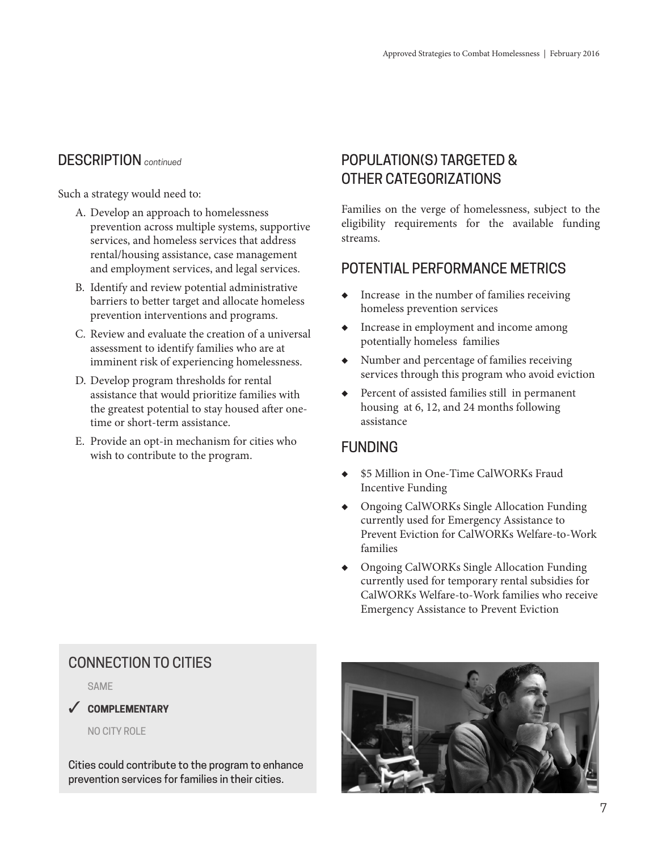Such a strategy would need to:

- A. Develop an approach to homelessness prevention across multiple systems, supportive services, and homeless services that address rental/housing assistance, case management and employment services, and legal services.
- B. Identify and review potential administrative barriers to better target and allocate homeless prevention interventions and programs.
- C. Review and evaluate the creation of a universal assessment to identify families who are at imminent risk of experiencing homelessness.
- D. Develop program thresholds for rental assistance that would prioritize families with the greatest potential to stay housed after onetime or short-term assistance.
- E. Provide an opt-in mechanism for cities who wish to contribute to the program.

# POPULATION(S) TARGETED & OTHER CATEGORIZATIONS

Families on the verge of homelessness, subject to the eligibility requirements for the available funding streams.

## POTENTIAL PERFORMANCE METRICS

- Increase in the number of families receiving homeless prevention services
- ◆ Increase in employment and income among potentially homeless families
- ◆ Number and percentage of families receiving services through this program who avoid eviction
- ◆ Percent of assisted families still in permanent housing at 6, 12, and 24 months following assistance

## FUNDING

- ◆ \$5 Million in One-Time CalWORKs Fraud Incentive Funding
- ◆ Ongoing CalWORKs Single Allocation Funding currently used for Emergency Assistance to Prevent Eviction for CalWORKs Welfare-to-Work families
- ◆ Ongoing CalWORKs Single Allocation Funding currently used for temporary rental subsidies for CalWORKs Welfare-to-Work families who receive Emergency Assistance to Prevent Eviction

## CONNECTION TO CITIES

SAME

#### 3 **COMPLEMENTARY**

NO CITY ROLE

Cities could contribute to the program to enhance prevention services for families in their cities.

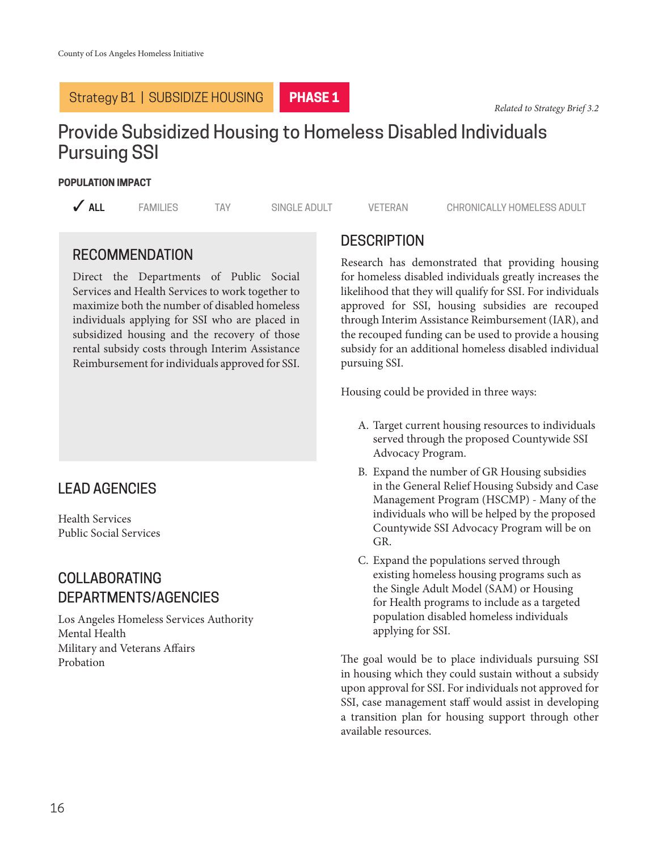#### Strategy B1 | SUBSIDIZE HOUSING

**PHASE 1**

*Related to Strategy Brief 3.2*

# Provide Subsidized Housing to Homeless Disabled Individuals Pursuing SSI

#### **POPULATION IMPACT**

**3 ALL** 3 FAMILIES TAY SINGLE ADULT VETERAN CHRONICALLY HOMELESS ADULT

## RECOMMENDATION

Direct the Departments of Public Social Services and Health Services to work together to maximize both the number of disabled homeless individuals applying for SSI who are placed in subsidized housing and the recovery of those rental subsidy costs through Interim Assistance Reimbursement for individuals approved for SSI.

## LEAD AGENCIES

Health Services Public Social Services

## COLLABORATING DEPARTMENTS/AGENCIES

Los Angeles Homeless Services Authority Mental Health Military and Veterans Affairs Probation

## **DESCRIPTION**

Research has demonstrated that providing housing for homeless disabled individuals greatly increases the likelihood that they will qualify for SSI. For individuals approved for SSI, housing subsidies are recouped through Interim Assistance Reimbursement (IAR), and the recouped funding can be used to provide a housing subsidy for an additional homeless disabled individual pursuing SSI.

Housing could be provided in three ways:

- A. Target current housing resources to individuals served through the proposed Countywide SSI Advocacy Program.
- B. Expand the number of GR Housing subsidies in the General Relief Housing Subsidy and Case Management Program (HSCMP) - Many of the individuals who will be helped by the proposed Countywide SSI Advocacy Program will be on GR.
- C. Expand the populations served through existing homeless housing programs such as the Single Adult Model (SAM) or Housing for Health programs to include as a targeted population disabled homeless individuals applying for SSI.

The goal would be to place individuals pursuing SSI in housing which they could sustain without a subsidy upon approval for SSI. For individuals not approved for SSI, case management staff would assist in developing a transition plan for housing support through other available resources.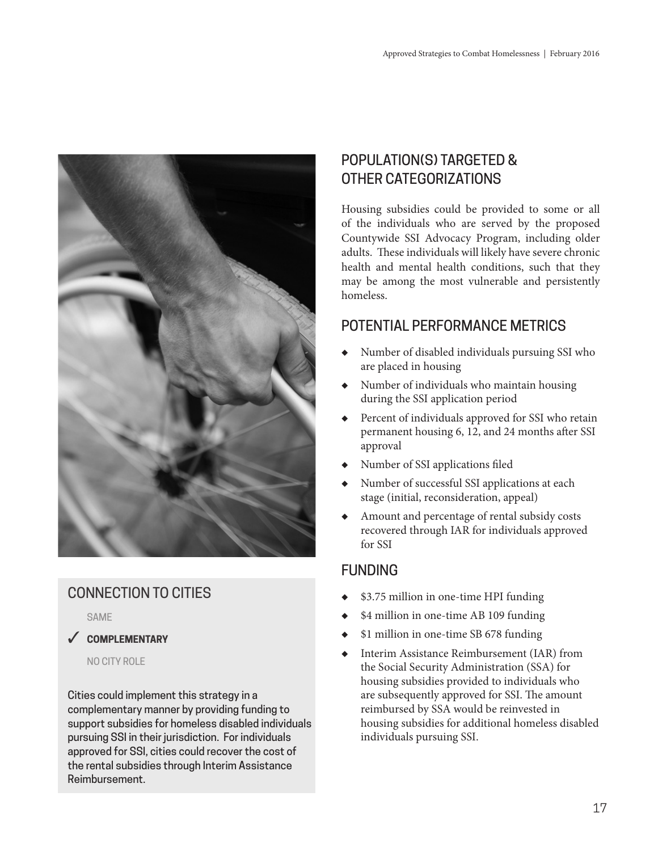

# CONNECTION TO CITIES

SAME

#### 3 **COMPLEMENTARY**

NO CITY ROLE

Cities could implement this strategy in a complementary manner by providing funding to support subsidies for homeless disabled individuals pursuing SSI in their jurisdiction. For individuals approved for SSI, cities could recover the cost of the rental subsidies through Interim Assistance Reimbursement.

## POPULATION(S) TARGETED & OTHER CATEGORIZATIONS

Housing subsidies could be provided to some or all of the individuals who are served by the proposed Countywide SSI Advocacy Program, including older adults. These individuals will likely have severe chronic health and mental health conditions, such that they may be among the most vulnerable and persistently homeless.

## POTENTIAL PERFORMANCE METRICS

- Number of disabled individuals pursuing SSI who are placed in housing
- ◆ Number of individuals who maintain housing during the SSI application period
- Percent of individuals approved for SSI who retain permanent housing 6, 12, and 24 months after SSI approval
- ◆ Number of SSI applications filed
- Number of successful SSI applications at each stage (initial, reconsideration, appeal)
- ◆ Amount and percentage of rental subsidy costs recovered through IAR for individuals approved for SSI

## FUNDING

- ◆ \$3.75 million in one-time HPI funding
- \$4 million in one-time AB 109 funding
- \$1 million in one-time SB 678 funding
- ◆ Interim Assistance Reimbursement (IAR) from the Social Security Administration (SSA) for housing subsidies provided to individuals who are subsequently approved for SSI. The amount reimbursed by SSA would be reinvested in housing subsidies for additional homeless disabled individuals pursuing SSI.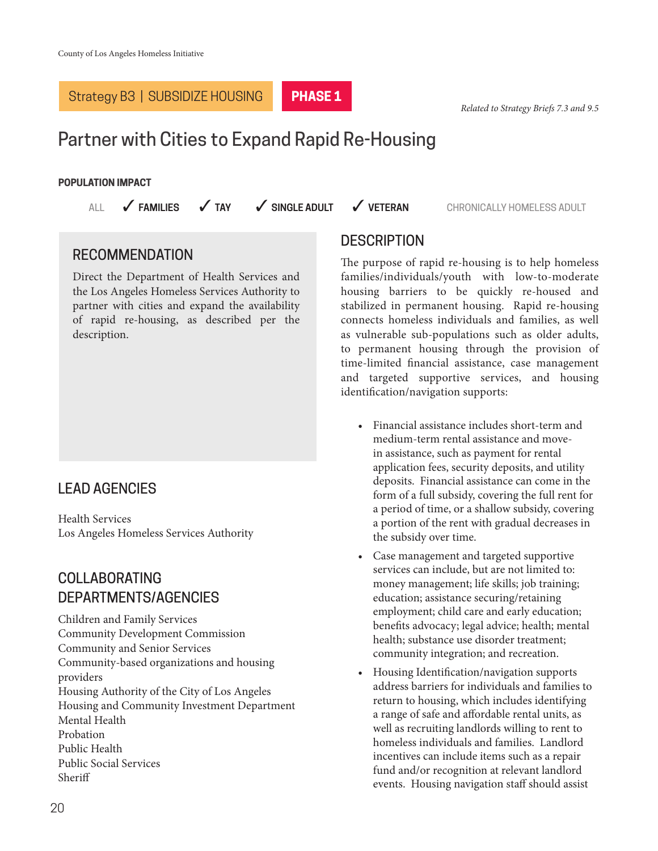## Strategy B3 | SUBSIDIZE HOUSING **PHASE 1**

*Related to Strategy Briefs 7.3 and 9.5*

# Partner with Cities to Expand Rapid Re-Housing

#### **POPULATION IMPACT**

**3 ALL 3 FAMILIES 3 J TAY 3 SINGLE ADULT** 3 VETERAN 3 CHRONICALLY HOMELESS ADULT

#### RECOMMENDATION

Direct the Department of Health Services and the Los Angeles Homeless Services Authority to partner with cities and expand the availability of rapid re-housing, as described per the description.

## LEAD AGENCIES

Health Services Los Angeles Homeless Services Authority

## COLLABORATING DEPARTMENTS/AGENCIES

Children and Family Services Community Development Commission Community and Senior Services Community-based organizations and housing providers Housing Authority of the City of Los Angeles Housing and Community Investment Department Mental Health Probation Public Health Public Social Services Sheriff

#### **DESCRIPTION**

The purpose of rapid re-housing is to help homeless families/individuals/youth with low-to-moderate housing barriers to be quickly re-housed and stabilized in permanent housing. Rapid re-housing connects homeless individuals and families, as well as vulnerable sub-populations such as older adults, to permanent housing through the provision of time-limited financial assistance, case management and targeted supportive services, and housing identification/navigation supports:

- Financial assistance includes short-term and medium-term rental assistance and movein assistance, such as payment for rental application fees, security deposits, and utility deposits. Financial assistance can come in the form of a full subsidy, covering the full rent for a period of time, or a shallow subsidy, covering a portion of the rent with gradual decreases in the subsidy over time.
- Case management and targeted supportive services can include, but are not limited to: money management; life skills; job training; education; assistance securing/retaining employment; child care and early education; benefits advocacy; legal advice; health; mental health; substance use disorder treatment; community integration; and recreation.
- Housing Identification/navigation supports address barriers for individuals and families to return to housing, which includes identifying a range of safe and affordable rental units, as well as recruiting landlords willing to rent to homeless individuals and families. Landlord incentives can include items such as a repair fund and/or recognition at relevant landlord events. Housing navigation staff should assist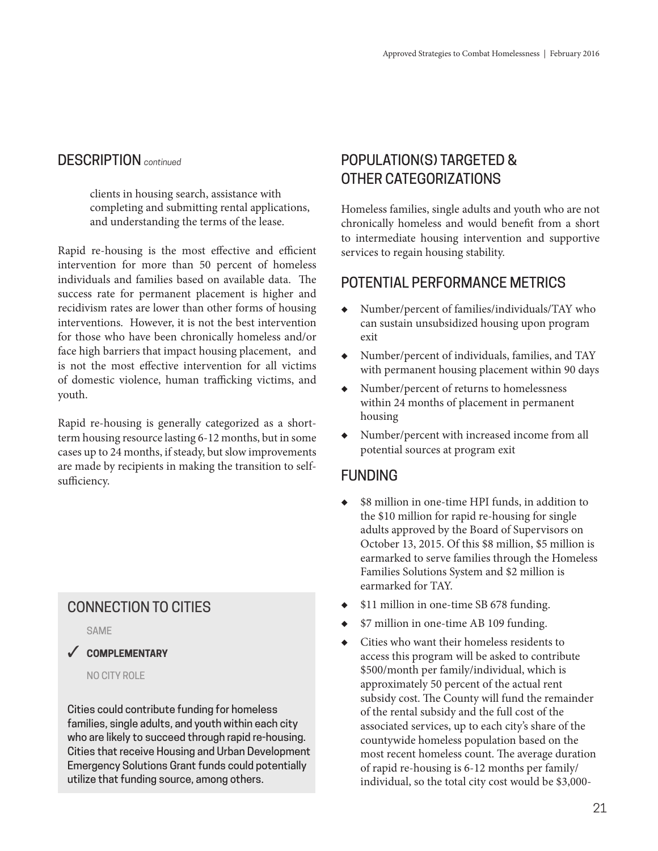clients in housing search, assistance with completing and submitting rental applications, and understanding the terms of the lease.

Rapid re-housing is the most effective and efficient intervention for more than 50 percent of homeless individuals and families based on available data. The success rate for permanent placement is higher and recidivism rates are lower than other forms of housing interventions. However, it is not the best intervention for those who have been chronically homeless and/or face high barriers that impact housing placement, and is not the most effective intervention for all victims of domestic violence, human trafficking victims, and youth.

Rapid re-housing is generally categorized as a shortterm housing resource lasting 6-12 months, but in some cases up to 24 months, if steady, but slow improvements are made by recipients in making the transition to selfsufficiency.

## CONNECTION TO CITIES

SAME



NO CITY ROLE

Cities could contribute funding for homeless families, single adults, and youth within each city who are likely to succeed through rapid re-housing. Cities that receive Housing and Urban Development Emergency Solutions Grant funds could potentially utilize that funding source, among others.

## POPULATION(S) TARGETED & OTHER CATEGORIZATIONS

Homeless families, single adults and youth who are not chronically homeless and would benefit from a short to intermediate housing intervention and supportive services to regain housing stability.

## POTENTIAL PERFORMANCE METRICS

- Number/percent of families/individuals/TAY who can sustain unsubsidized housing upon program exit
- ◆ Number/percent of individuals, families, and TAY with permanent housing placement within 90 days
- Number/percent of returns to homelessness within 24 months of placement in permanent housing
- ◆ Number/percent with increased income from all potential sources at program exit

## FUNDING

- \$8 million in one-time HPI funds, in addition to the \$10 million for rapid re-housing for single adults approved by the Board of Supervisors on October 13, 2015. Of this \$8 million, \$5 million is earmarked to serve families through the Homeless Families Solutions System and \$2 million is earmarked for TAY.
- \$11 million in one-time SB 678 funding.
- \$7 million in one-time AB 109 funding.
- Cities who want their homeless residents to access this program will be asked to contribute \$500/month per family/individual, which is approximately 50 percent of the actual rent subsidy cost. The County will fund the remainder of the rental subsidy and the full cost of the associated services, up to each city's share of the countywide homeless population based on the most recent homeless count. The average duration of rapid re-housing is 6-12 months per family/ individual, so the total city cost would be \$3,000-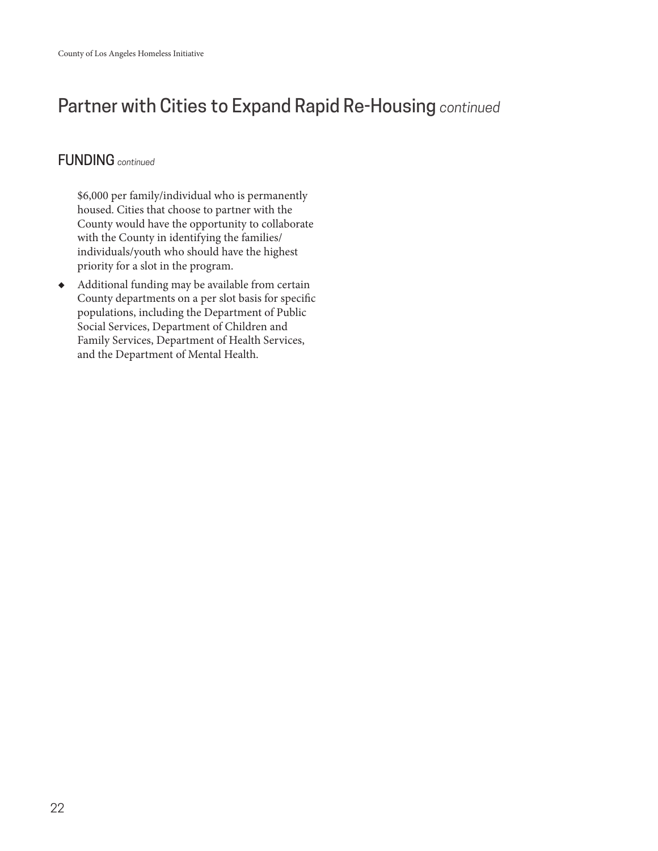# Partner with Cities to Expand Rapid Re-Housing *continued*

## FUNDING *continued*

\$6,000 per family/individual who is permanently housed. Cities that choose to partner with the County would have the opportunity to collaborate with the County in identifying the families/ individuals/youth who should have the highest priority for a slot in the program.

◆ Additional funding may be available from certain County departments on a per slot basis for specific populations, including the Department of Public Social Services, Department of Children and Family Services, Department of Health Services, and the Department of Mental Health.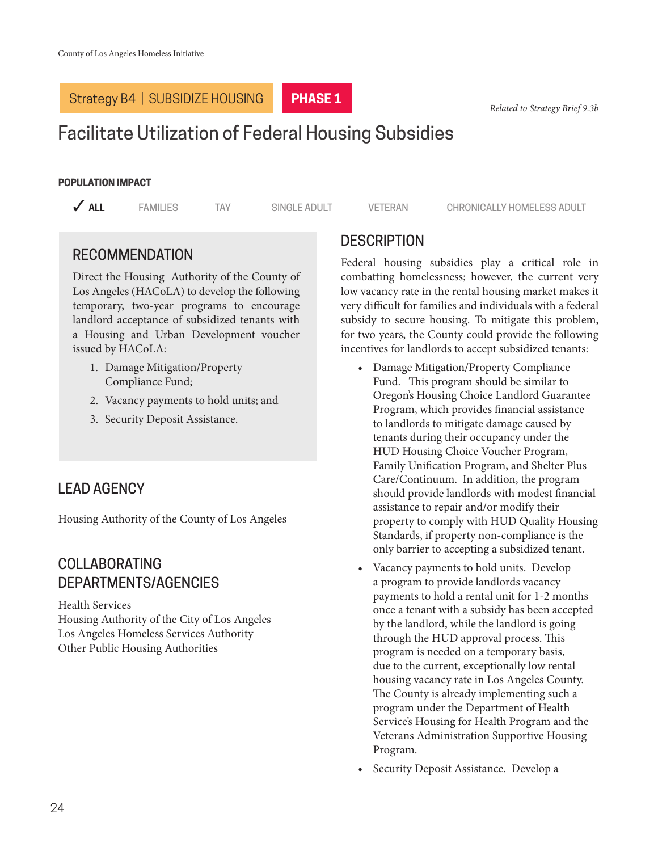## Strategy B4 | SUBSIDIZE HOUSING

#### **PHASE 1**

#### *Related to Strategy Brief 9.3b*

# Facilitate Utilization of Federal Housing Subsidies

#### **POPULATION IMPACT**

**3 ALL** 3 FAMILIES TAY SINGLE ADULT VETERAN CHRONICALLY HOMELESS ADULT

## RECOMMENDATION

Direct the Housing Authority of the County of Los Angeles (HACoLA) to develop the following temporary, two-year programs to encourage landlord acceptance of subsidized tenants with a Housing and Urban Development voucher issued by HACoLA:

- 1. Damage Mitigation/Property Compliance Fund;
- 2. Vacancy payments to hold units; and
- 3. Security Deposit Assistance.

## LEAD AGENCY

Housing Authority of the County of Los Angeles

## COLLABORATING DEPARTMENTS/AGENCIES

Health Services Housing Authority of the City of Los Angeles Los Angeles Homeless Services Authority Other Public Housing Authorities

## **DESCRIPTION**

Federal housing subsidies play a critical role in combatting homelessness; however, the current very low vacancy rate in the rental housing market makes it very difficult for families and individuals with a federal subsidy to secure housing. To mitigate this problem, for two years, the County could provide the following incentives for landlords to accept subsidized tenants:

- Damage Mitigation/Property Compliance Fund. This program should be similar to Oregon's Housing Choice Landlord Guarantee Program, which provides financial assistance to landlords to mitigate damage caused by tenants during their occupancy under the HUD Housing Choice Voucher Program, Family Unification Program, and Shelter Plus Care/Continuum. In addition, the program should provide landlords with modest financial assistance to repair and/or modify their property to comply with HUD Quality Housing Standards, if property non-compliance is the only barrier to accepting a subsidized tenant.
- Vacancy payments to hold units. Develop a program to provide landlords vacancy payments to hold a rental unit for 1-2 months once a tenant with a subsidy has been accepted by the landlord, while the landlord is going through the HUD approval process. This program is needed on a temporary basis, due to the current, exceptionally low rental housing vacancy rate in Los Angeles County. The County is already implementing such a program under the Department of Health Service's Housing for Health Program and the Veterans Administration Supportive Housing Program.
- Security Deposit Assistance. Develop a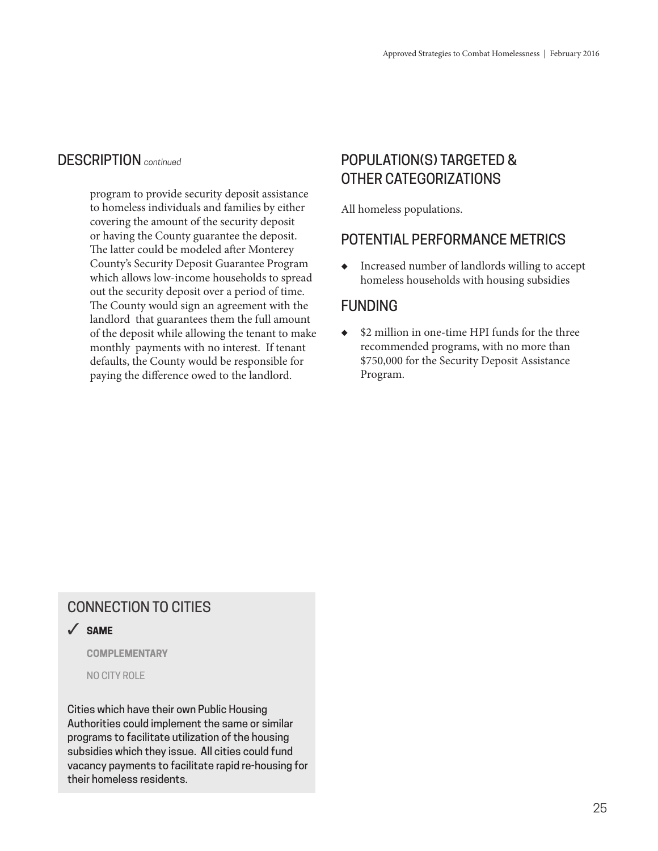program to provide security deposit assistance to homeless individuals and families by either covering the amount of the security deposit or having the County guarantee the deposit. The latter could be modeled after Monterey County's Security Deposit Guarantee Program which allows low-income households to spread out the security deposit over a period of time. The County would sign an agreement with the landlord that guarantees them the full amount of the deposit while allowing the tenant to make monthly payments with no interest. If tenant defaults, the County would be responsible for paying the difference owed to the landlord.

## POPULATION(S) TARGETED & OTHER CATEGORIZATIONS

All homeless populations.

## POTENTIAL PERFORMANCE METRICS

◆ Increased number of landlords willing to accept homeless households with housing subsidies

## **FUNDING**

◆ \$2 million in one-time HPI funds for the three recommended programs, with no more than \$750,000 for the Security Deposit Assistance Program.

## CONNECTION TO CITIES

## 3 **SAME**

**COMPLEMENTARY**

NO CITY ROLE

Cities which have their own Public Housing Authorities could implement the same or similar programs to facilitate utilization of the housing subsidies which they issue. All cities could fund vacancy payments to facilitate rapid re-housing for their homeless residents.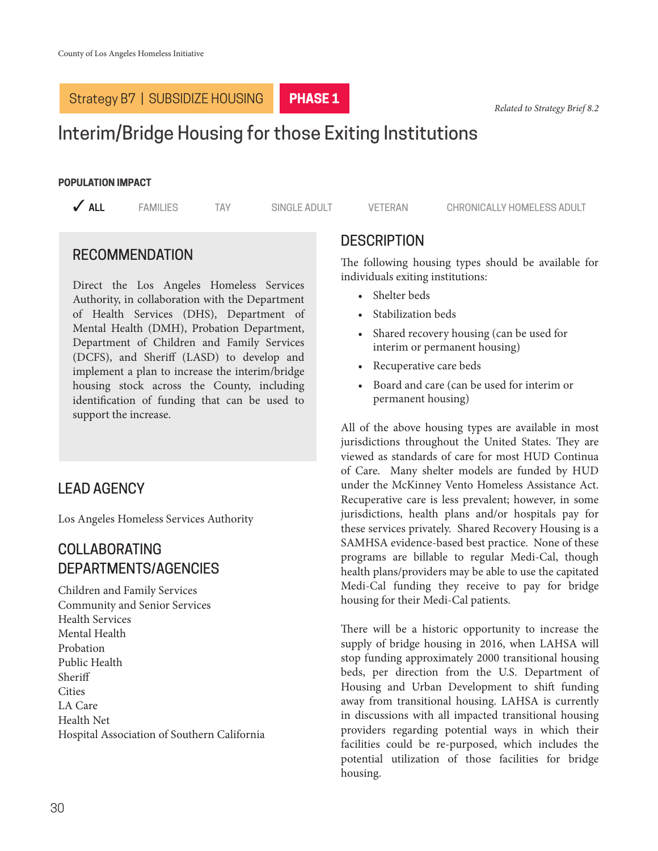## Strategy B7 | SUBSIDIZE HOUSING

*Related to Strategy Brief 8.2*

# Interim/Bridge Housing for those Exiting Institutions

#### **POPULATION IMPACT**

**PHASE 1**

**3 ALL** 3 FAMILIES TAY SINGLE ADULT VETERAN CHRONICALLY HOMELESS ADULT

#### RECOMMENDATION

Direct the Los Angeles Homeless Services Authority, in collaboration with the Department of Health Services (DHS), Department of Mental Health (DMH), Probation Department, Department of Children and Family Services (DCFS), and Sheriff (LASD) to develop and implement a plan to increase the interim/bridge housing stock across the County, including identification of funding that can be used to support the increase.

## LEAD AGENCY

Los Angeles Homeless Services Authority

## COLLABORATING DEPARTMENTS/AGENCIES

Children and Family Services Community and Senior Services Health Services Mental Health Probation Public Health Sheriff **Cities** LA Care Health Net Hospital Association of Southern California

#### **DESCRIPTION**

The following housing types should be available for individuals exiting institutions:

- Shelter beds
- Stabilization beds
- Shared recovery housing (can be used for interim or permanent housing)
- Recuperative care beds
- Board and care (can be used for interim or permanent housing)

All of the above housing types are available in most jurisdictions throughout the United States. They are viewed as standards of care for most HUD Continua of Care. Many shelter models are funded by HUD under the McKinney Vento Homeless Assistance Act. Recuperative care is less prevalent; however, in some jurisdictions, health plans and/or hospitals pay for these services privately. Shared Recovery Housing is a SAMHSA evidence-based best practice. None of these programs are billable to regular Medi-Cal, though health plans/providers may be able to use the capitated Medi-Cal funding they receive to pay for bridge housing for their Medi-Cal patients.

There will be a historic opportunity to increase the supply of bridge housing in 2016, when LAHSA will stop funding approximately 2000 transitional housing beds, per direction from the U.S. Department of Housing and Urban Development to shift funding away from transitional housing. LAHSA is currently in discussions with all impacted transitional housing providers regarding potential ways in which their facilities could be re-purposed, which includes the potential utilization of those facilities for bridge housing.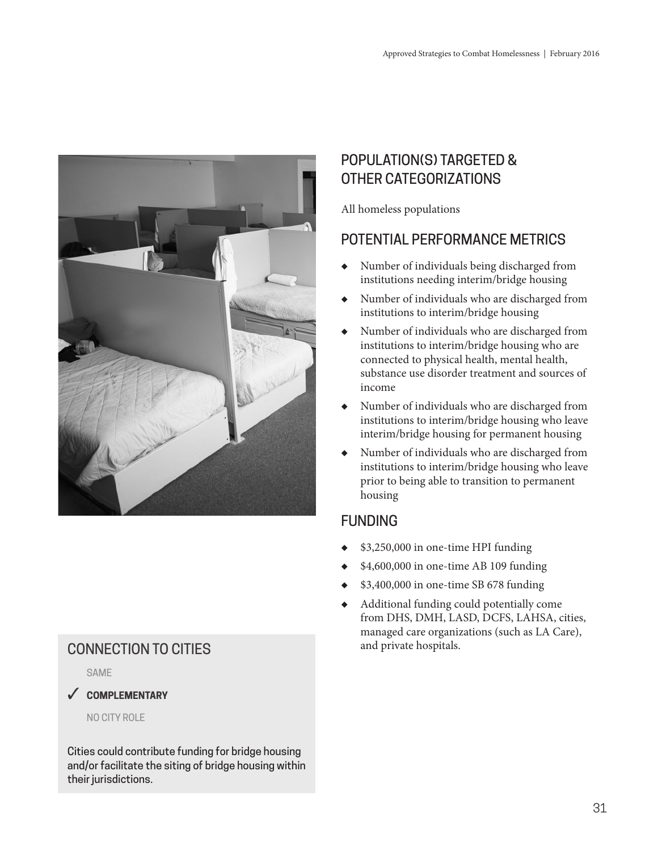

# and private hospitals. CONNECTION TO CITIES

SAME

#### 3 **COMPLEMENTARY**

NO CITY ROLE

Cities could contribute funding for bridge housing and/or facilitate the siting of bridge housing within their jurisdictions.

# POPULATION(S) TARGETED & OTHER CATEGORIZATIONS

All homeless populations

## POTENTIAL PERFORMANCE METRICS

- ◆ Number of individuals being discharged from institutions needing interim/bridge housing
- ◆ Number of individuals who are discharged from institutions to interim/bridge housing
- Number of individuals who are discharged from institutions to interim/bridge housing who are connected to physical health, mental health, substance use disorder treatment and sources of income
- ◆ Number of individuals who are discharged from institutions to interim/bridge housing who leave interim/bridge housing for permanent housing
- Number of individuals who are discharged from institutions to interim/bridge housing who leave prior to being able to transition to permanent housing

# FUNDING

- ◆ \$3,250,000 in one-time HPI funding
- ◆ \$4,600,000 in one-time AB 109 funding
- ◆ \$3,400,000 in one-time SB 678 funding
- Additional funding could potentially come from DHS, DMH, LASD, DCFS, LAHSA, cities, managed care organizations (such as LA Care),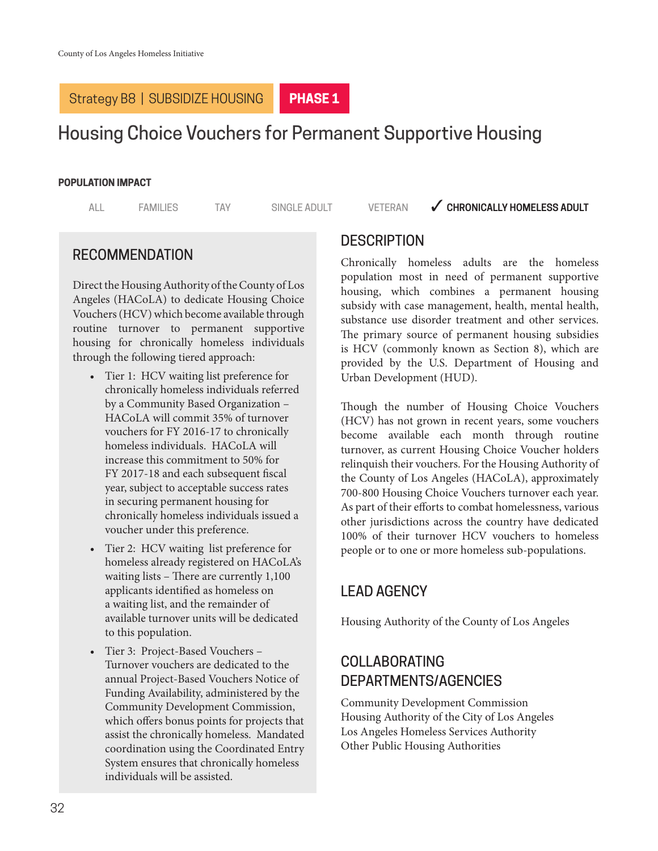## Strategy B8 | SUBSIDIZE HOUSING

#### **PHASE 1**

# Housing Choice Vouchers for Permanent Supportive Housing

#### **POPULATION IMPACT**

#### ALL FAMILIES TAY SINGLE ADULT VETERAN **VERONICALLY HOMELESS ADULT**

## RECOMMENDATION

Direct the Housing Authority of the County of Los Angeles (HACoLA) to dedicate Housing Choice Vouchers (HCV) which become available through routine turnover to permanent supportive housing for chronically homeless individuals through the following tiered approach:

- Tier 1: HCV waiting list preference for chronically homeless individuals referred by a Community Based Organization – HACoLA will commit 35% of turnover vouchers for FY 2016-17 to chronically homeless individuals. HACoLA will increase this commitment to 50% for FY 2017-18 and each subsequent fiscal year, subject to acceptable success rates in securing permanent housing for chronically homeless individuals issued a voucher under this preference.
- Tier 2: HCV waiting list preference for homeless already registered on HACoLA's waiting lists – There are currently 1,100 applicants identified as homeless on a waiting list, and the remainder of available turnover units will be dedicated to this population.
- Tier 3: Project-Based Vouchers Turnover vouchers are dedicated to the annual Project-Based Vouchers Notice of Funding Availability, administered by the Community Development Commission, which offers bonus points for projects that assist the chronically homeless. Mandated coordination using the Coordinated Entry System ensures that chronically homeless individuals will be assisted.

#### **DESCRIPTION**

Chronically homeless adults are the homeless population most in need of permanent supportive housing, which combines a permanent housing subsidy with case management, health, mental health, substance use disorder treatment and other services. The primary source of permanent housing subsidies is HCV (commonly known as Section 8), which are provided by the U.S. Department of Housing and Urban Development (HUD).

Though the number of Housing Choice Vouchers (HCV) has not grown in recent years, some vouchers become available each month through routine turnover, as current Housing Choice Voucher holders relinquish their vouchers. For the Housing Authority of the County of Los Angeles (HACoLA), approximately 700-800 Housing Choice Vouchers turnover each year. As part of their efforts to combat homelessness, various other jurisdictions across the country have dedicated 100% of their turnover HCV vouchers to homeless people or to one or more homeless sub-populations.

## LEAD AGENCY

Housing Authority of the County of Los Angeles

## COLLABORATING DEPARTMENTS/AGENCIES

Community Development Commission Housing Authority of the City of Los Angeles Los Angeles Homeless Services Authority Other Public Housing Authorities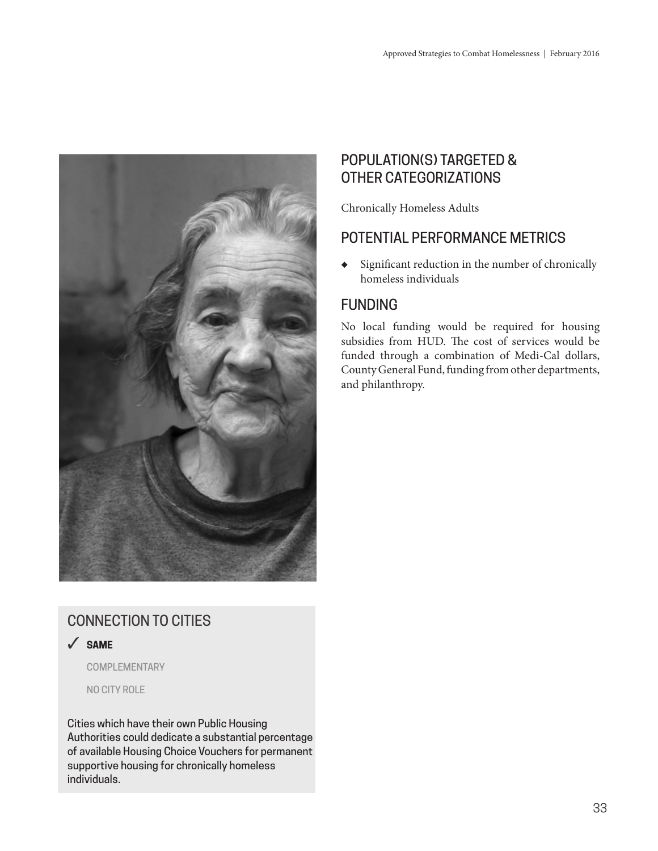

# CONNECTION TO CITIES

3 **SAME**

COMPLEMENTARY

NO CITY ROLE

Cities which have their own Public Housing Authorities could dedicate a substantial percentage of available Housing Choice Vouchers for permanent supportive housing for chronically homeless individuals.

## POPULATION(S) TARGETED & OTHER CATEGORIZATIONS

Chronically Homeless Adults

## POTENTIAL PERFORMANCE METRICS

◆ Significant reduction in the number of chronically homeless individuals

## FUNDING

No local funding would be required for housing subsidies from HUD. The cost of services would be funded through a combination of Medi-Cal dollars, County General Fund, funding from other departments, and philanthropy.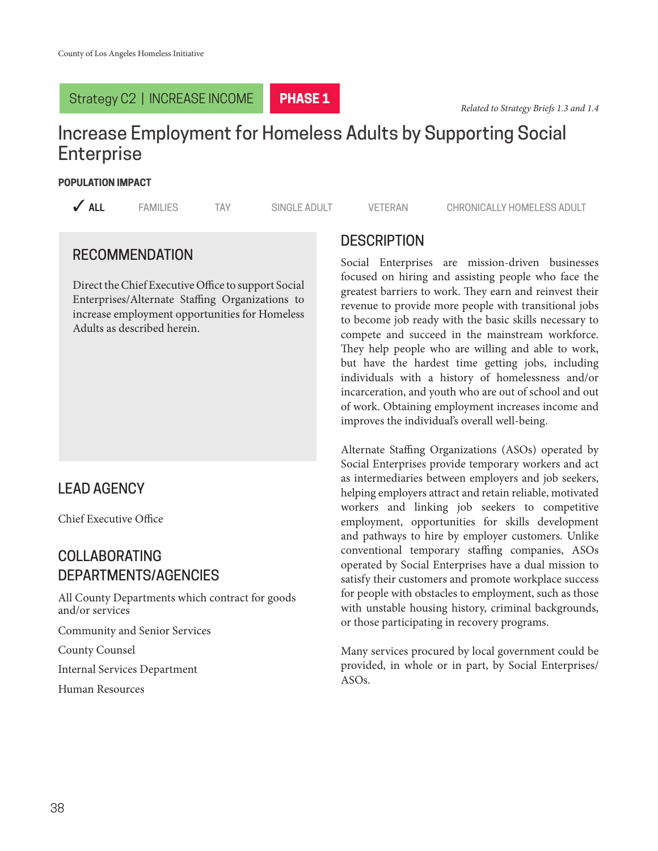#### Strategy C2 | INCREASE INCOME



# Increase Employment for Homeless Adults by Supporting Social **Enterprise**

#### **POPULATION IMPACT**

**3 ALL** 3 FAMILIES TAY SINGLE ADULT VETERAN CHRONICALLY HOMELESS ADULT

## RECOMMENDATION

Direct the Chief Executive Office to support Social Enterprises/Alternate Staffing Organizations to increase employment opportunities for Homeless Adults as described herein.

## LEAD AGENCY

Chief Executive Office

## COLLABORATING DEPARTMENTS/AGENCIES

All County Departments which contract for goods and/or services

Community and Senior Services

County Counsel

Internal Services Department

Human Resources

## **DESCRIPTION**

Social Enterprises are mission-driven businesses focused on hiring and assisting people who face the greatest barriers to work. They earn and reinvest their revenue to provide more people with transitional jobs to become job ready with the basic skills necessary to compete and succeed in the mainstream workforce. They help people who are willing and able to work, but have the hardest time getting jobs, including individuals with a history of homelessness and/or incarceration, and youth who are out of school and out of work. Obtaining employment increases income and improves the individual's overall well-being.

Alternate Staffing Organizations (ASOs) operated by Social Enterprises provide temporary workers and act as intermediaries between employers and job seekers, helping employers attract and retain reliable, motivated workers and linking job seekers to competitive employment, opportunities for skills development and pathways to hire by employer customers. Unlike conventional temporary staffing companies, ASOs operated by Social Enterprises have a dual mission to satisfy their customers and promote workplace success for people with obstacles to employment, such as those with unstable housing history, criminal backgrounds, or those participating in recovery programs.

Many services procured by local government could be provided, in whole or in part, by Social Enterprises/ ASOs.

38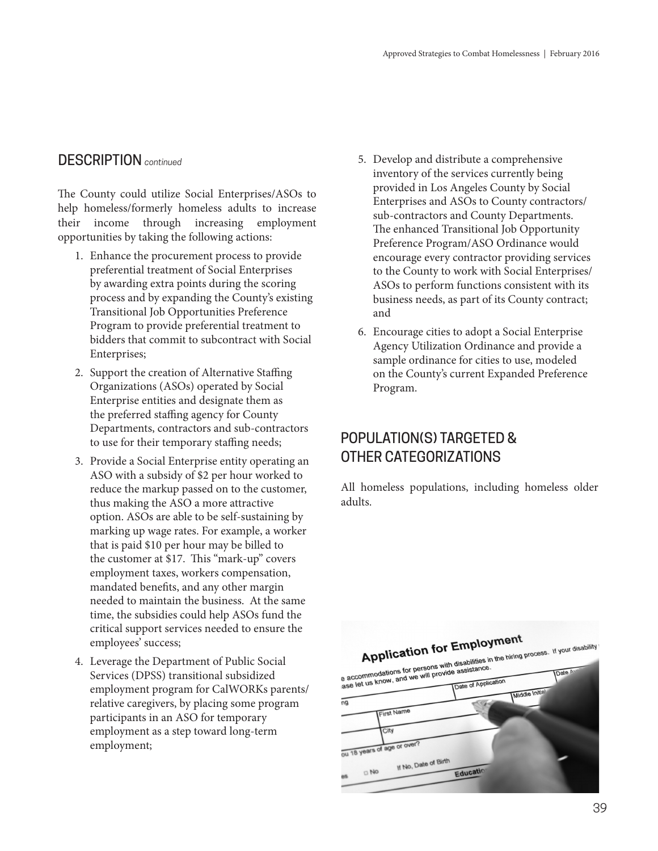The County could utilize Social Enterprises/ASOs to help homeless/formerly homeless adults to increase their income through increasing employment opportunities by taking the following actions:

- 1. Enhance the procurement process to provide preferential treatment of Social Enterprises by awarding extra points during the scoring process and by expanding the County's existing Transitional Job Opportunities Preference Program to provide preferential treatment to bidders that commit to subcontract with Social Enterprises;
- 2. Support the creation of Alternative Staffing Organizations (ASOs) operated by Social Enterprise entities and designate them as the preferred staffing agency for County Departments, contractors and sub-contractors to use for their temporary staffing needs;
- 3. Provide a Social Enterprise entity operating an ASO with a subsidy of \$2 per hour worked to reduce the markup passed on to the customer, thus making the ASO a more attractive option. ASOs are able to be self-sustaining by marking up wage rates. For example, a worker that is paid \$10 per hour may be billed to the customer at \$17. This "mark-up" covers employment taxes, workers compensation, mandated benefits, and any other margin needed to maintain the business. At the same time, the subsidies could help ASOs fund the critical support services needed to ensure the employees' success;
- 4. Leverage the Department of Public Social Services (DPSS) transitional subsidized employment program for CalWORKs parents/ relative caregivers, by placing some program participants in an ASO for temporary employment as a step toward long-term employment;
- DESCRIPTION *continued* 5. Develop and distribute a comprehensive inventory of the services currently being provided in Los Angeles County by Social Enterprises and ASOs to County contractors/ sub-contractors and County Departments. The enhanced Transitional Job Opportunity Preference Program/ASO Ordinance would encourage every contractor providing services to the County to work with Social Enterprises/ ASOs to perform functions consistent with its business needs, as part of its County contract; and
	- 6. Encourage cities to adopt a Social Enterprise Agency Utilization Ordinance and provide a sample ordinance for cities to use, modeled on the County's current Expanded Preference Program.

## POPULATION(S) TARGETED & OTHER CATEGORIZATIONS

All homeless populations, including homeless older adults.

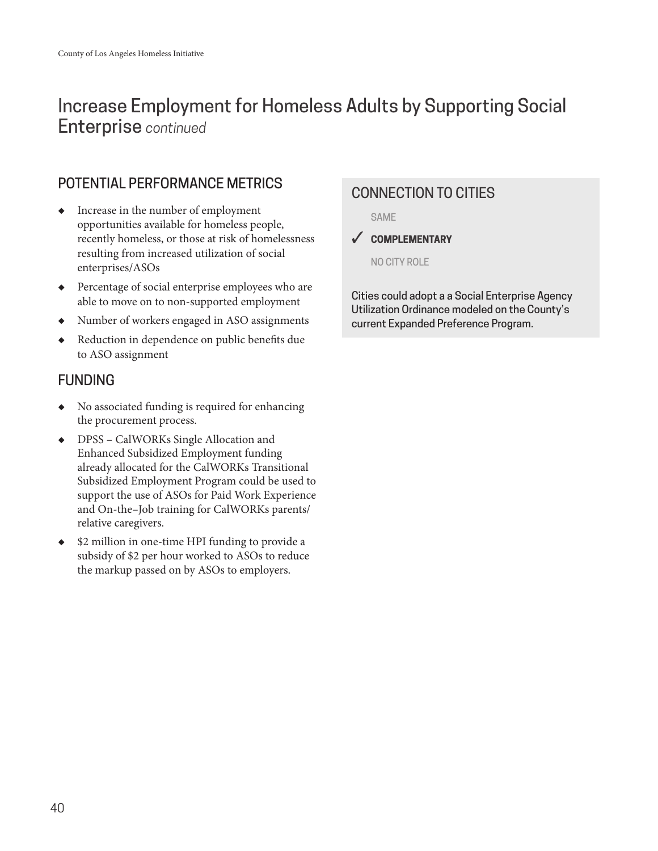# Increase Employment for Homeless Adults by Supporting Social Enterprise *continued*

## POTENTIAL PERFORMANCE METRICS

- ◆ Increase in the number of employment opportunities available for homeless people, recently homeless, or those at risk of homelessness resulting from increased utilization of social enterprises/ASOs
- ◆ Percentage of social enterprise employees who are able to move on to non-supported employment
- ◆ Number of workers engaged in ASO assignments
- ◆ Reduction in dependence on public benefits due to ASO assignment

## **FUNDING**

- ◆ No associated funding is required for enhancing the procurement process.
- ◆ DPSS CalWORKs Single Allocation and Enhanced Subsidized Employment funding already allocated for the CalWORKs Transitional Subsidized Employment Program could be used to support the use of ASOs for Paid Work Experience and On-the–Job training for CalWORKs parents/ relative caregivers.
- ◆ \$2 million in one-time HPI funding to provide a subsidy of \$2 per hour worked to ASOs to reduce the markup passed on by ASOs to employers.

## CONNECTION TO CITIES

**SAME** 

3 **COMPLEMENTARY**

NO CITY ROLE

Cities could adopt a a Social Enterprise Agency Utilization Ordinance modeled on the County's current Expanded Preference Program.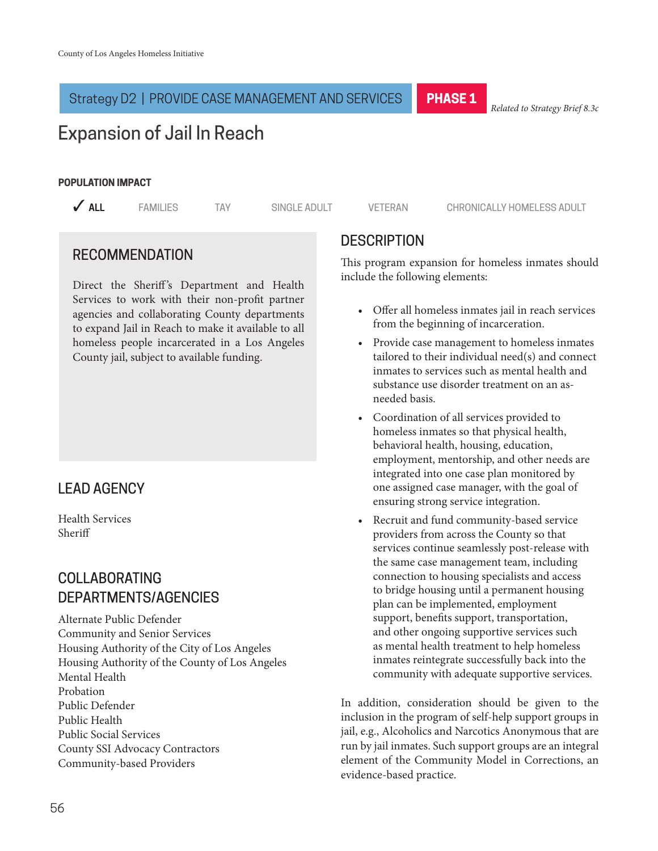#### Strategy D2 | PROVIDE CASE MANAGEMENT AND SERVICES

**PHASE 1**

*Related to Strategy Brief 8.3c*

# Expansion of Jail In Reach

#### **POPULATION IMPACT**

**3 ALL** 3 FAMILIES TAY SINGLE ADULT VETERAN CHRONICALLY HOMELESS ADULT

## RECOMMENDATION

Direct the Sheriff's Department and Health Services to work with their non-profit partner agencies and collaborating County departments to expand Jail in Reach to make it available to all homeless people incarcerated in a Los Angeles County jail, subject to available funding.

## LEAD AGENCY

Health Services Sheriff

## COLLABORATING DEPARTMENTS/AGENCIES

Alternate Public Defender Community and Senior Services Housing Authority of the City of Los Angeles Housing Authority of the County of Los Angeles Mental Health Probation Public Defender Public Health Public Social Services County SSI Advocacy Contractors Community-based Providers

## **DESCRIPTION**

This program expansion for homeless inmates should include the following elements:

- Offer all homeless inmates jail in reach services from the beginning of incarceration.
- Provide case management to homeless inmates tailored to their individual need(s) and connect inmates to services such as mental health and substance use disorder treatment on an asneeded basis.
- Coordination of all services provided to homeless inmates so that physical health, behavioral health, housing, education, employment, mentorship, and other needs are integrated into one case plan monitored by one assigned case manager, with the goal of ensuring strong service integration.
- Recruit and fund community-based service providers from across the County so that services continue seamlessly post-release with the same case management team, including connection to housing specialists and access to bridge housing until a permanent housing plan can be implemented, employment support, benefits support, transportation, and other ongoing supportive services such as mental health treatment to help homeless inmates reintegrate successfully back into the community with adequate supportive services.

In addition, consideration should be given to the inclusion in the program of self-help support groups in jail, e.g., Alcoholics and Narcotics Anonymous that are run by jail inmates. Such support groups are an integral element of the Community Model in Corrections, an evidence-based practice.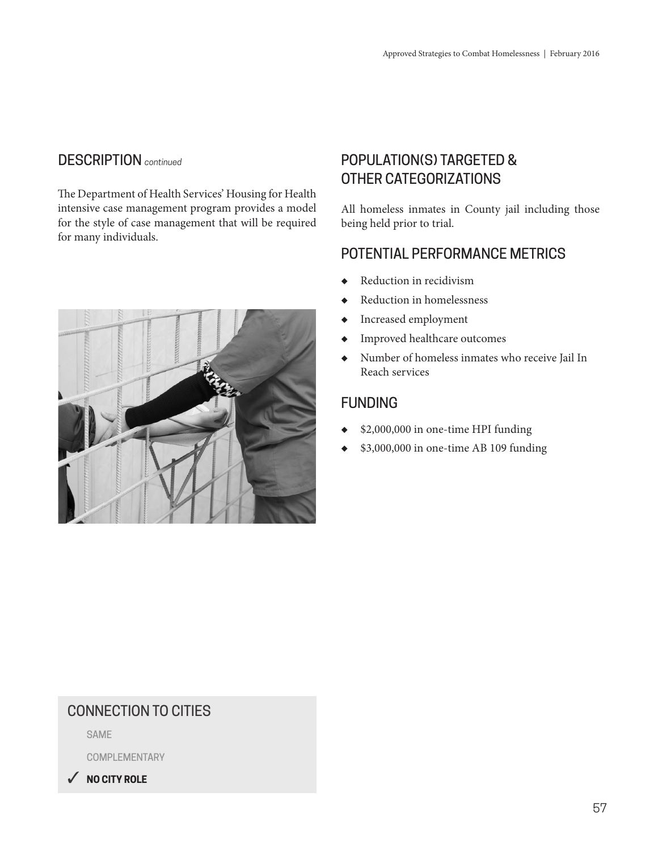The Department of Health Services' Housing for Health intensive case management program provides a model for the style of case management that will be required for many individuals.



# POPULATION(S) TARGETED & OTHER CATEGORIZATIONS

All homeless inmates in County jail including those being held prior to trial.

## POTENTIAL PERFORMANCE METRICS

- Reduction in recidivism
- ◆ Reduction in homelessness
- ◆ Increased employment
- ◆ Improved healthcare outcomes
- ◆ Number of homeless inmates who receive Jail In Reach services

## FUNDING

- ◆ \$2,000,000 in one-time HPI funding
- ◆ \$3,000,000 in one-time AB 109 funding

## CONNECTION TO CITIES

SAME

COMPLEMENTARY

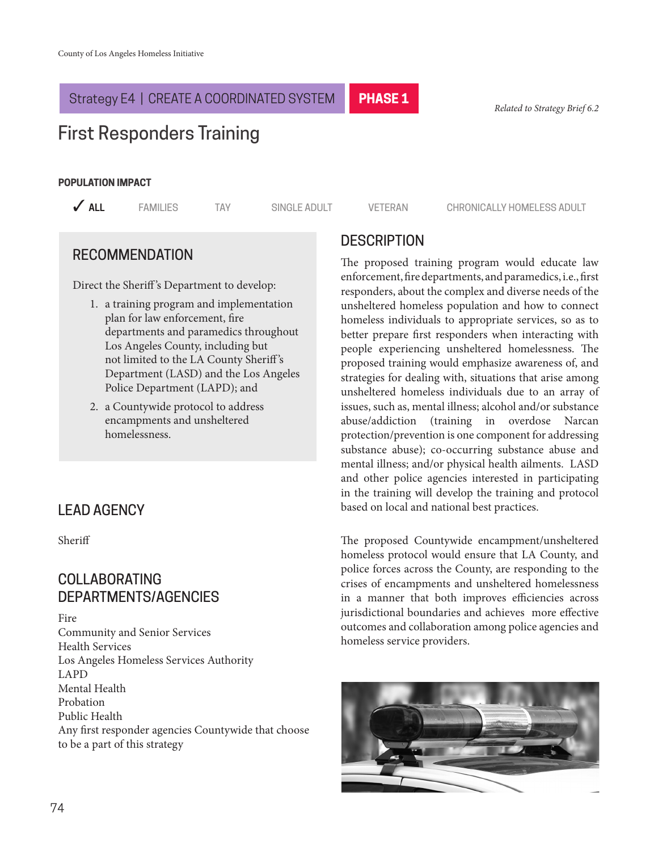## Strategy E4 | CREATE A COORDINATED SYSTEM

*Related to Strategy Brief 6.2*

# First Responders Training

#### **POPULATION IMPACT**

**PHASE 1**

**3 ALL** 3 FAMILIES TAY SINGLE ADULT VETERAN CHRONICALLY HOMELESS ADULT

## RECOMMENDATION

Direct the Sheriff 's Department to develop:

- 1. a training program and implementation plan for law enforcement, fire departments and paramedics throughout Los Angeles County, including but not limited to the LA County Sheriff 's Department (LASD) and the Los Angeles Police Department (LAPD); and
- 2. a Countywide protocol to address encampments and unsheltered homelessness.

## LEAD AGENCY

Sheriff

## COLLABORATING DEPARTMENTS/AGENCIES

Fire Community and Senior Services Health Services Los Angeles Homeless Services Authority LAPD Mental Health Probation Public Health Any first responder agencies Countywide that choose to be a part of this strategy

## **DESCRIPTION**

The proposed training program would educate law enforcement, fire departments, and paramedics, i.e., first responders, about the complex and diverse needs of the unsheltered homeless population and how to connect homeless individuals to appropriate services, so as to better prepare first responders when interacting with people experiencing unsheltered homelessness. The proposed training would emphasize awareness of, and strategies for dealing with, situations that arise among unsheltered homeless individuals due to an array of issues, such as, mental illness; alcohol and/or substance abuse/addiction (training in overdose Narcan protection/prevention is one component for addressing substance abuse); co-occurring substance abuse and mental illness; and/or physical health ailments. LASD and other police agencies interested in participating in the training will develop the training and protocol based on local and national best practices.

The proposed Countywide encampment/unsheltered homeless protocol would ensure that LA County, and police forces across the County, are responding to the crises of encampments and unsheltered homelessness in a manner that both improves efficiencies across jurisdictional boundaries and achieves more effective outcomes and collaboration among police agencies and homeless service providers.

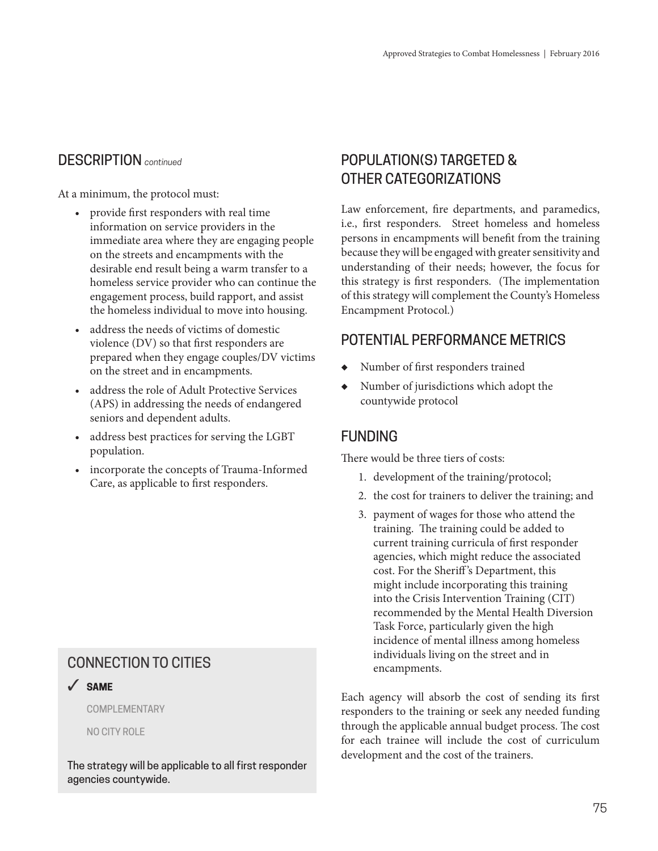At a minimum, the protocol must:

- provide first responders with real time information on service providers in the immediate area where they are engaging people on the streets and encampments with the desirable end result being a warm transfer to a homeless service provider who can continue the engagement process, build rapport, and assist the homeless individual to move into housing.
- address the needs of victims of domestic violence (DV) so that first responders are prepared when they engage couples/DV victims on the street and in encampments.
- address the role of Adult Protective Services (APS) in addressing the needs of endangered seniors and dependent adults.
- address best practices for serving the LGBT population.
- incorporate the concepts of Trauma-Informed Care, as applicable to first responders.

## CONNECTION TO CITIES

3 **SAME**

COMPLEMENTARY

NO CITY ROLE

The strategy will be applicable to all first responder agencies countywide.

## POPULATION(S) TARGETED & OTHER CATEGORIZATIONS

Law enforcement, fire departments, and paramedics, i.e., first responders. Street homeless and homeless persons in encampments will benefit from the training because they will be engaged with greater sensitivity and understanding of their needs; however, the focus for this strategy is first responders. (The implementation of this strategy will complement the County's Homeless Encampment Protocol.)

## POTENTIAL PERFORMANCE METRICS

- Number of first responders trained
- Number of jurisdictions which adopt the countywide protocol

## FUNDING

There would be three tiers of costs:

- 1. development of the training/protocol;
- 2. the cost for trainers to deliver the training; and
- 3. payment of wages for those who attend the training. The training could be added to current training curricula of first responder agencies, which might reduce the associated cost. For the Sheriff 's Department, this might include incorporating this training into the Crisis Intervention Training (CIT) recommended by the Mental Health Diversion Task Force, particularly given the high incidence of mental illness among homeless individuals living on the street and in encampments.

Each agency will absorb the cost of sending its first responders to the training or seek any needed funding through the applicable annual budget process. The cost for each trainee will include the cost of curriculum development and the cost of the trainers.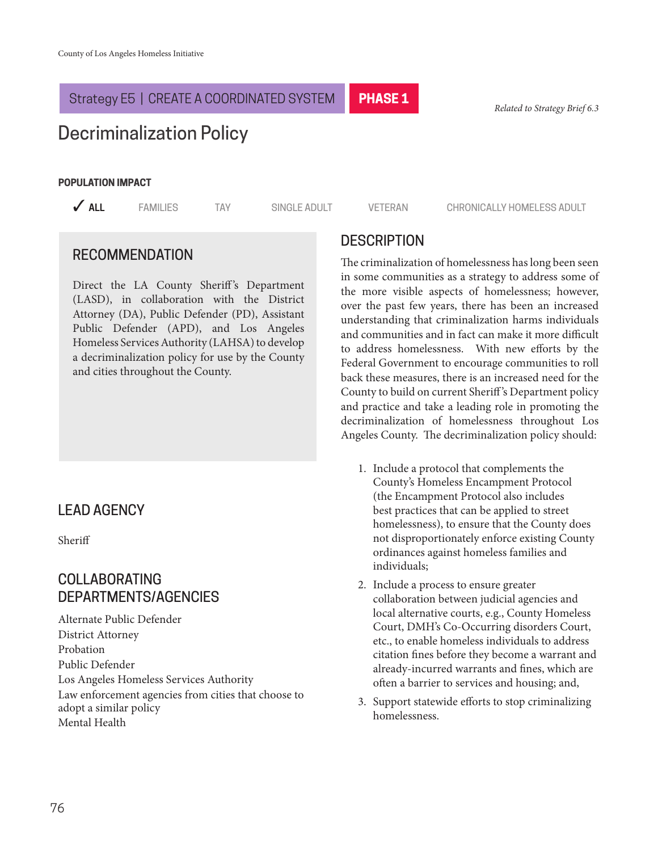#### Strategy E5 | CREATE A COORDINATED SYSTEM

*Related to Strategy Brief 6.3*

# Decriminalization Policy

#### **POPULATION IMPACT**

**3 ALL** 3 FAMILIES TAY SINGLE ADULT VETERAN CHRONICALLY HOMELESS ADULT

#### RECOMMENDATION

Direct the LA County Sheriff's Department (LASD), in collaboration with the District Attorney (DA), Public Defender (PD), Assistant Public Defender (APD), and Los Angeles Homeless Services Authority (LAHSA) to develop a decriminalization policy for use by the County and cities throughout the County.

## LEAD AGENCY

Sheriff

## COLLABORATING DEPARTMENTS/AGENCIES

Alternate Public Defender District Attorney Probation Public Defender Los Angeles Homeless Services Authority Law enforcement agencies from cities that choose to adopt a similar policy Mental Health

## **DESCRIPTION**

**PHASE 1**

The criminalization of homelessness has long been seen in some communities as a strategy to address some of the more visible aspects of homelessness; however, over the past few years, there has been an increased understanding that criminalization harms individuals and communities and in fact can make it more difficult to address homelessness. With new efforts by the Federal Government to encourage communities to roll back these measures, there is an increased need for the County to build on current Sheriff 's Department policy and practice and take a leading role in promoting the decriminalization of homelessness throughout Los Angeles County. The decriminalization policy should:

- 1. Include a protocol that complements the County's Homeless Encampment Protocol (the Encampment Protocol also includes best practices that can be applied to street homelessness), to ensure that the County does not disproportionately enforce existing County ordinances against homeless families and individuals;
- 2. Include a process to ensure greater collaboration between judicial agencies and local alternative courts, e.g., County Homeless Court, DMH's Co-Occurring disorders Court, etc., to enable homeless individuals to address citation fines before they become a warrant and already-incurred warrants and fines, which are often a barrier to services and housing; and,
- 3. Support statewide efforts to stop criminalizing homelessness.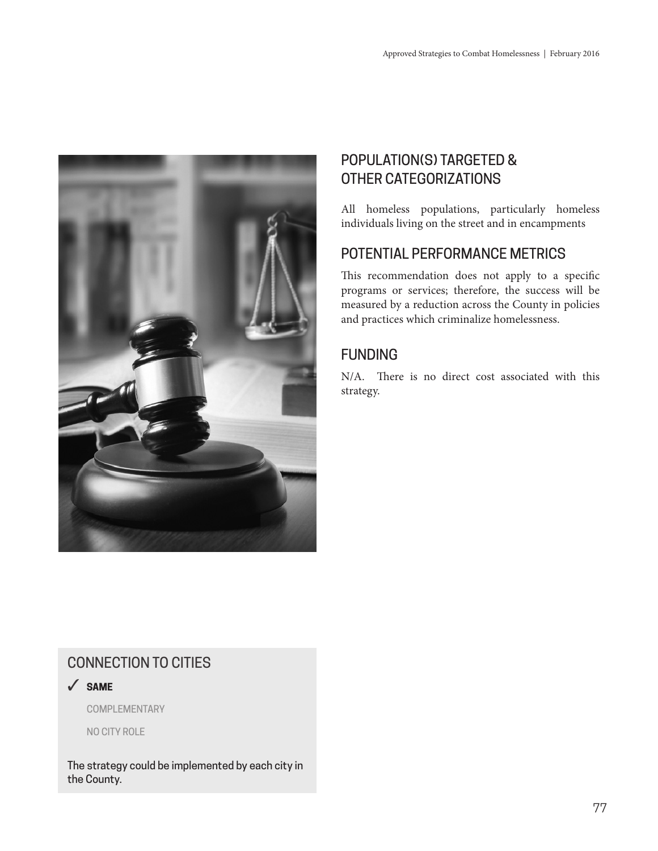

# POPULATION(S) TARGETED & OTHER CATEGORIZATIONS

All homeless populations, particularly homeless individuals living on the street and in encampments

## POTENTIAL PERFORMANCE METRICS

This recommendation does not apply to a specific programs or services; therefore, the success will be measured by a reduction across the County in policies and practices which criminalize homelessness.

## FUNDING

N/A. There is no direct cost associated with this strategy.

## CONNECTION TO CITIES

3 **SAME**

COMPLEMENTARY

NO CITY ROLE

The strategy could be implemented by each city in the County.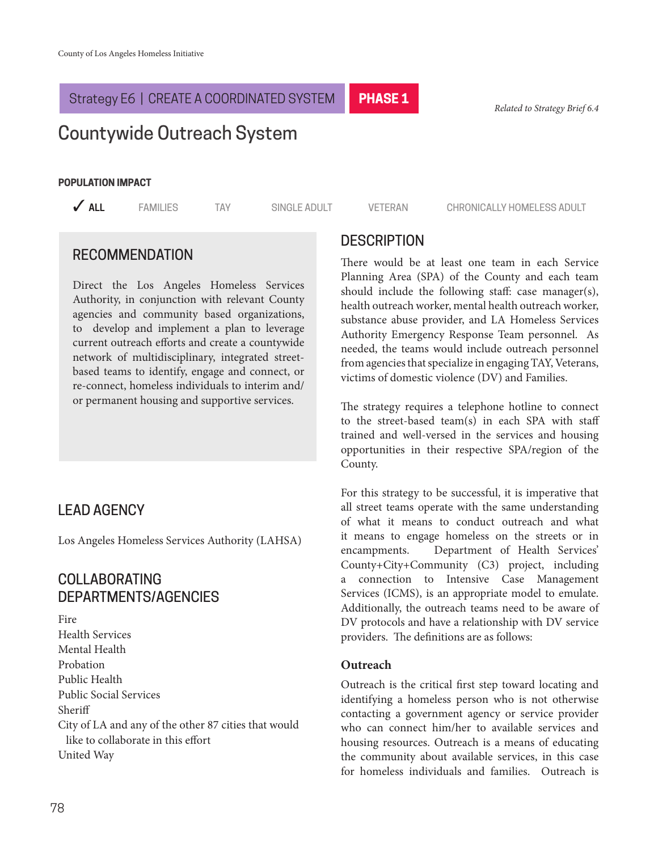#### Strategy E6 | CREATE A COORDINATED SYSTEM

*Related to Strategy Brief 6.4*

# Countywide Outreach System

#### **POPULATION IMPACT**

**PHASE 1**

**3 ALL** 3 FAMILIES TAY SINGLE ADULT VETERAN CHRONICALLY HOMELESS ADULT

## RECOMMENDATION

Direct the Los Angeles Homeless Services Authority, in conjunction with relevant County agencies and community based organizations, to develop and implement a plan to leverage current outreach efforts and create a countywide network of multidisciplinary, integrated streetbased teams to identify, engage and connect, or re-connect, homeless individuals to interim and/ or permanent housing and supportive services.

## LEAD AGENCY

Los Angeles Homeless Services Authority (LAHSA)

## COLLABORATING DEPARTMENTS/AGENCIES

Fire Health Services Mental Health Probation Public Health Public Social Services Sheriff City of LA and any of the other 87 cities that would like to collaborate in this effort United Way

## **DESCRIPTION**

There would be at least one team in each Service Planning Area (SPA) of the County and each team should include the following staff: case manager(s), health outreach worker, mental health outreach worker, substance abuse provider, and LA Homeless Services Authority Emergency Response Team personnel. As needed, the teams would include outreach personnel from agencies that specialize in engaging TAY, Veterans, victims of domestic violence (DV) and Families.

The strategy requires a telephone hotline to connect to the street-based team(s) in each SPA with staff trained and well-versed in the services and housing opportunities in their respective SPA/region of the County.

For this strategy to be successful, it is imperative that all street teams operate with the same understanding of what it means to conduct outreach and what it means to engage homeless on the streets or in encampments. Department of Health Services' County+City+Community (C3) project, including a connection to Intensive Case Management Services (ICMS), is an appropriate model to emulate. Additionally, the outreach teams need to be aware of DV protocols and have a relationship with DV service providers. The definitions are as follows:

#### **Outreach**

Outreach is the critical first step toward locating and identifying a homeless person who is not otherwise contacting a government agency or service provider who can connect him/her to available services and housing resources. Outreach is a means of educating the community about available services, in this case for homeless individuals and families. Outreach is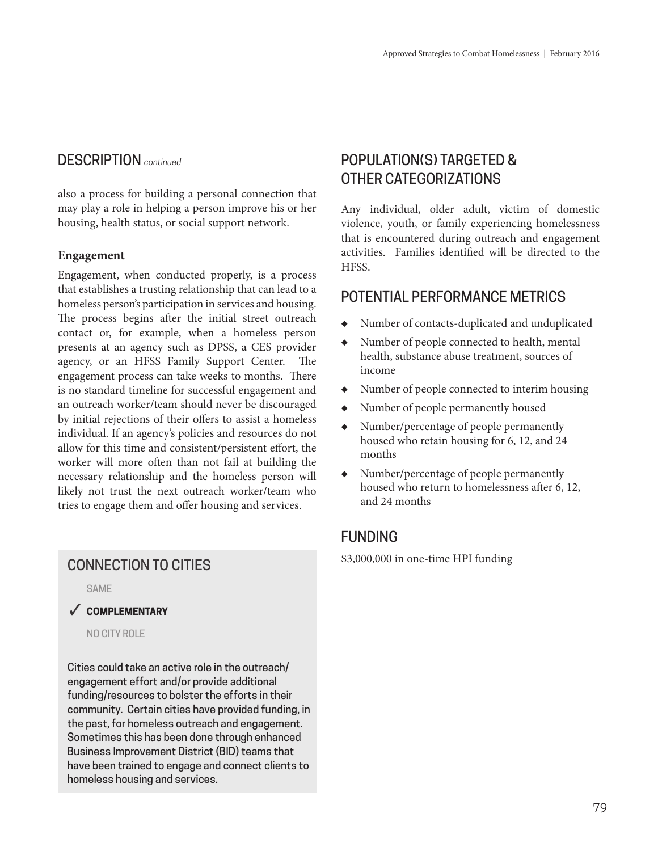also a process for building a personal connection that may play a role in helping a person improve his or her housing, health status, or social support network.

#### **Engagement**

Engagement, when conducted properly, is a process that establishes a trusting relationship that can lead to a homeless person's participation in services and housing. The process begins after the initial street outreach contact or, for example, when a homeless person presents at an agency such as DPSS, a CES provider agency, or an HFSS Family Support Center. The engagement process can take weeks to months. There is no standard timeline for successful engagement and an outreach worker/team should never be discouraged by initial rejections of their offers to assist a homeless individual. If an agency's policies and resources do not allow for this time and consistent/persistent effort, the worker will more often than not fail at building the necessary relationship and the homeless person will likely not trust the next outreach worker/team who tries to engage them and offer housing and services.

SAME

#### 3 **COMPLEMENTARY**

NO CITY ROLE

Cities could take an active role in the outreach/ engagement effort and/or provide additional funding/resources to bolster the efforts in their community. Certain cities have provided funding, in the past, for homeless outreach and engagement. Sometimes this has been done through enhanced Business Improvement District (BID) teams that have been trained to engage and connect clients to homeless housing and services.

## POPULATION(S) TARGETED & OTHER CATEGORIZATIONS

Any individual, older adult, victim of domestic violence, youth, or family experiencing homelessness that is encountered during outreach and engagement activities. Families identified will be directed to the HFSS.

## POTENTIAL PERFORMANCE METRICS

- Number of contacts-duplicated and unduplicated
- Number of people connected to health, mental health, substance abuse treatment, sources of income
- Number of people connected to interim housing
- ◆ Number of people permanently housed
- ◆ Number/percentage of people permanently housed who retain housing for 6, 12, and 24 months
- ◆ Number/percentage of people permanently housed who return to homelessness after 6, 12, and 24 months

## FUNDING

\$3,000,000 in one-time HPI funding CONNECTION TO CITIES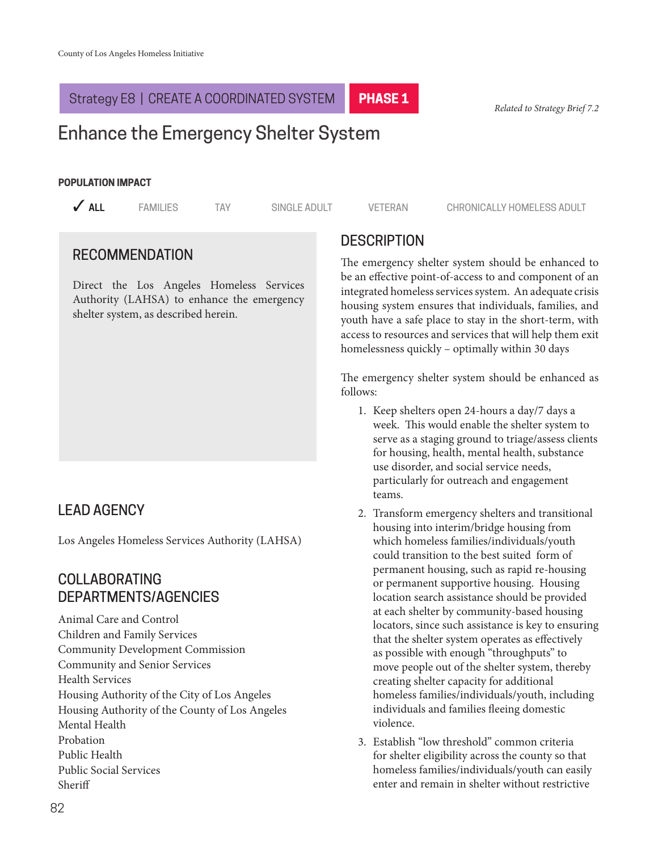#### Strategy E8 | CREATE A COORDINATED SYSTEM **PHASE 1**

*Related to Strategy Brief 7.2*

# Enhance the Emergency Shelter System

#### **POPULATION IMPACT**

**3 ALL** 3 FAMILIES TAY SINGLE ADULT VETERAN CHRONICALLY HOMELESS ADULT

## RECOMMENDATION

Direct the Los Angeles Homeless Services Authority (LAHSA) to enhance the emergency shelter system, as described herein.

## LEAD AGENCY

Los Angeles Homeless Services Authority (LAHSA)

## COLLABORATING DEPARTMENTS/AGENCIES

Animal Care and Control Children and Family Services Community Development Commission Community and Senior Services Health Services Housing Authority of the City of Los Angeles Housing Authority of the County of Los Angeles Mental Health Probation Public Health Public Social Services Sheriff

## **DESCRIPTION**

The emergency shelter system should be enhanced to be an effective point-of-access to and component of an integrated homeless services system. An adequate crisis housing system ensures that individuals, families, and youth have a safe place to stay in the short-term, with access to resources and services that will help them exit homelessness quickly – optimally within 30 days

The emergency shelter system should be enhanced as follows:

- 1. Keep shelters open 24-hours a day/7 days a week. This would enable the shelter system to serve as a staging ground to triage/assess clients for housing, health, mental health, substance use disorder, and social service needs, particularly for outreach and engagement teams.
- 2. Transform emergency shelters and transitional housing into interim/bridge housing from which homeless families/individuals/youth could transition to the best suited form of permanent housing, such as rapid re-housing or permanent supportive housing. Housing location search assistance should be provided at each shelter by community-based housing locators, since such assistance is key to ensuring that the shelter system operates as effectively as possible with enough "throughputs" to move people out of the shelter system, thereby creating shelter capacity for additional homeless families/individuals/youth, including individuals and families fleeing domestic violence.
- 3. Establish "low threshold" common criteria for shelter eligibility across the county so that homeless families/individuals/youth can easily enter and remain in shelter without restrictive